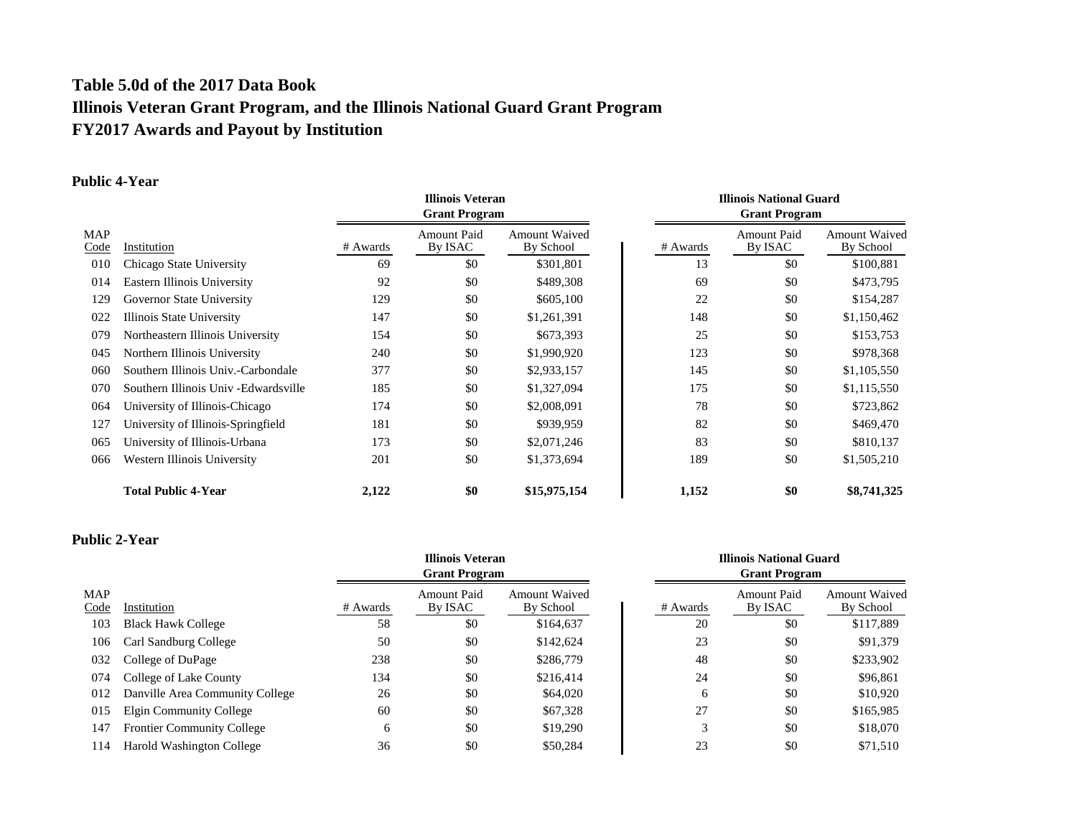# **Table 5.0d of the 2017 Data Book Illinois Veteran Grant Program, and the Illinois National Guard Grant Program FY2017 Awards and Payout by Institution**

## **Public 4-Year**

|             |                                       | <b>Illinois Veteran</b><br><b>Grant Program</b> |                               |                                   | <b>Illinois National Guard</b><br><b>Grant Program</b> |                        |                                   |
|-------------|---------------------------------------|-------------------------------------------------|-------------------------------|-----------------------------------|--------------------------------------------------------|------------------------|-----------------------------------|
| MAP<br>Code | Institution                           | # Awards                                        | <b>Amount Paid</b><br>By ISAC | <b>Amount Waived</b><br>By School | # Awards                                               | Amount Paid<br>By ISAC | <b>Amount Waived</b><br>By School |
| 010         | Chicago State University              | 69                                              | \$0                           | \$301,801                         | 13                                                     | \$0                    | \$100,881                         |
| 014         | Eastern Illinois University           | 92                                              | \$0                           | \$489,308                         | 69                                                     | \$0                    | \$473,795                         |
| 129         | Governor State University             | 129                                             | \$0                           | \$605,100                         | 22                                                     | \$0                    | \$154,287                         |
| 022         | Illinois State University             | 147                                             | \$0                           | \$1,261,391                       | 148                                                    | \$0                    | \$1,150,462                       |
| 079         | Northeastern Illinois University      | 154                                             | \$0                           | \$673,393                         | 25                                                     | \$0                    | \$153,753                         |
| 045         | Northern Illinois University          | 240                                             | \$0                           | \$1,990,920                       | 123                                                    | \$0                    | \$978,368                         |
| 060         | Southern Illinois Univ.-Carbondale    | 377                                             | \$0                           | \$2,933,157                       | 145                                                    | \$0                    | \$1,105,550                       |
| 070         | Southern Illinois Univ - Edwardsville | 185                                             | \$0                           | \$1,327,094                       | 175                                                    | \$0                    | \$1,115,550                       |
| 064         | University of Illinois-Chicago        | 174                                             | \$0                           | \$2,008,091                       | 78                                                     | \$0                    | \$723,862                         |
| 127         | University of Illinois-Springfield    | 181                                             | \$0                           | \$939,959                         | 82                                                     | \$0                    | \$469,470                         |
| 065         | University of Illinois-Urbana         | 173                                             | \$0                           | \$2,071,246                       | 83                                                     | \$0                    | \$810,137                         |
| 066         | Western Illinois University           | 201                                             | \$0                           | \$1,373,694                       | 189                                                    | \$0                    | \$1,505,210                       |
|             | <b>Total Public 4-Year</b>            | 2,122                                           | \$0                           | \$15,975,154                      | 1,152                                                  | \$0                    | \$8,741,325                       |

## **Public 2-Year**

|                    |                                   |          | <b>Illinois Veteran</b><br><b>Grant Program</b> |                                   |          | <b>Illinois National Guard</b><br><b>Grant Program</b> |                                   |  |
|--------------------|-----------------------------------|----------|-------------------------------------------------|-----------------------------------|----------|--------------------------------------------------------|-----------------------------------|--|
| <b>MAP</b><br>Code | Institution                       | # Awards | Amount Paid<br>By ISAC                          | <b>Amount Waived</b><br>By School | # Awards | <b>Amount Paid</b><br>By ISAC                          | <b>Amount Waived</b><br>By School |  |
| 103                | <b>Black Hawk College</b>         | 58       | \$0                                             | \$164,637                         | 20       | \$0                                                    | \$117,889                         |  |
| 106                | Carl Sandburg College             | 50       | \$0                                             | \$142,624                         | 23       | \$0                                                    | \$91,379                          |  |
| 032                | College of DuPage                 | 238      | \$0                                             | \$286,779                         | 48       | \$0                                                    | \$233,902                         |  |
| 074                | College of Lake County            | 134      | \$0                                             | \$216.414                         | 24       | \$0                                                    | \$96,861                          |  |
| 012                | Danville Area Community College   | 26       | \$0                                             | \$64,020                          | 6        | \$0                                                    | \$10,920                          |  |
| 015                | Elgin Community College           | 60       | \$0                                             | \$67,328                          | 27       | \$0                                                    | \$165,985                         |  |
| 147                | <b>Frontier Community College</b> | 6        | \$0                                             | \$19,290                          | 3        | \$0                                                    | \$18,070                          |  |
| 114                | Harold Washington College         | 36       | \$0                                             | \$50,284                          | 23       | \$0                                                    | \$71,510                          |  |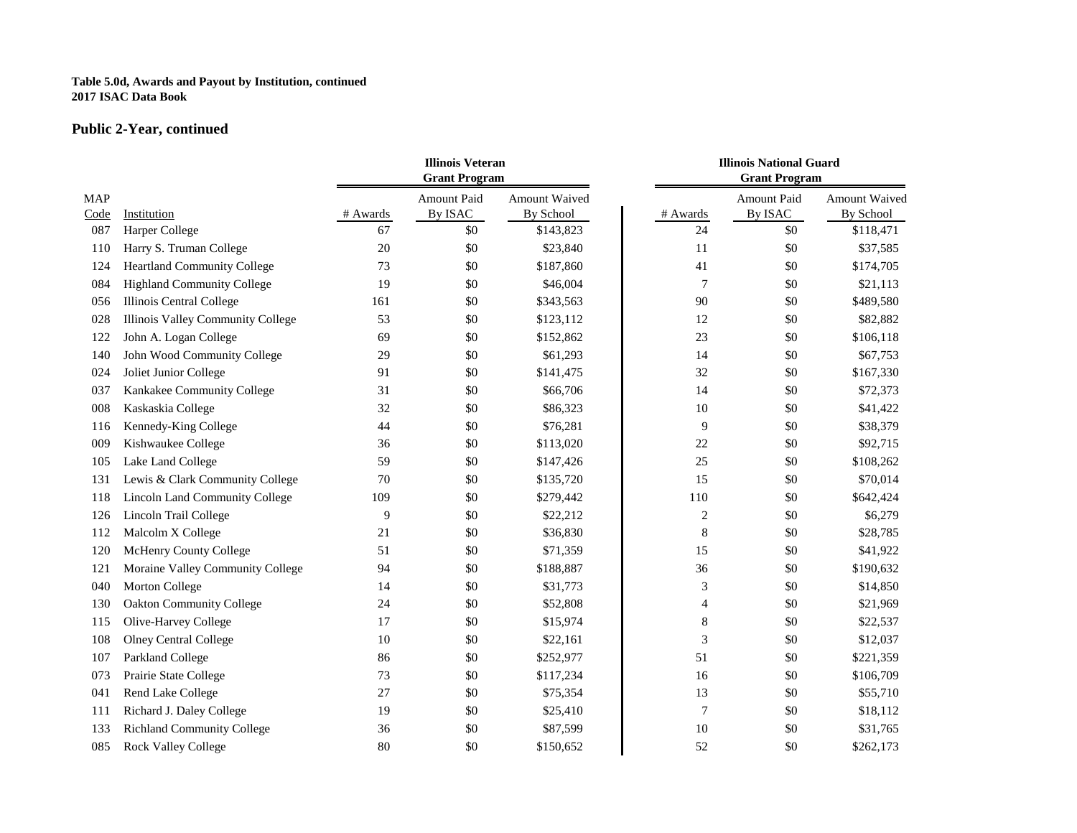### **Table 5.0d, Awards and Payout by Institution, continued 2017 ISAC Data Book**

## **Public 2-Year, continued**

|                    |                                    | <b>Illinois Veteran</b><br><b>Grant Program</b> |                               |                            | <b>Illinois National Guard</b><br><b>Grant Program</b> |                        |                                   |
|--------------------|------------------------------------|-------------------------------------------------|-------------------------------|----------------------------|--------------------------------------------------------|------------------------|-----------------------------------|
| <b>MAP</b><br>Code | Institution                        | # Awards                                        | <b>Amount Paid</b><br>By ISAC | Amount Waived<br>By School | # Awards                                               | Amount Paid<br>By ISAC | <b>Amount Waived</b><br>By School |
| 087                | Harper College                     | 67                                              | \$0                           | \$143,823                  | 24                                                     | \$0                    | \$118,471                         |
| 110                | Harry S. Truman College            | 20                                              | \$0                           | \$23,840                   | 11                                                     | \$0                    | \$37,585                          |
| 124                | <b>Heartland Community College</b> | 73                                              | \$0                           | \$187,860                  | 41                                                     | \$0                    | \$174,705                         |
| 084                | Highland Community College         | 19                                              | \$0                           | \$46,004                   | 7                                                      | \$0                    | \$21,113                          |
| 056                | Illinois Central College           | 161                                             | \$0                           | \$343,563                  | 90                                                     | \$0                    | \$489,580                         |
| 028                | Illinois Valley Community College  | 53                                              | \$0                           | \$123,112                  | 12                                                     | \$0                    | \$82,882                          |
| 122                | John A. Logan College              | 69                                              | \$0                           | \$152,862                  | 23                                                     | \$0                    | \$106,118                         |
| 140                | John Wood Community College        | 29                                              | \$0                           | \$61,293                   | 14                                                     | \$0                    | \$67,753                          |
| 024                | Joliet Junior College              | 91                                              | \$0                           | \$141,475                  | 32                                                     | \$0                    | \$167,330                         |
| 037                | Kankakee Community College         | 31                                              | \$0                           | \$66,706                   | 14                                                     | \$0                    | \$72,373                          |
| 008                | Kaskaskia College                  | 32                                              | \$0                           | \$86,323                   | 10                                                     | \$0                    | \$41,422                          |
| 116                | Kennedy-King College               | 44                                              | \$0                           | \$76,281                   | 9                                                      | \$0                    | \$38,379                          |
| 009                | Kishwaukee College                 | 36                                              | \$0                           | \$113,020                  | 22                                                     | \$0                    | \$92,715                          |
| 105                | Lake Land College                  | 59                                              | \$0                           | \$147,426                  | 25                                                     | \$0                    | \$108,262                         |
| 131                | Lewis & Clark Community College    | 70                                              | \$0                           | \$135,720                  | 15                                                     | \$0                    | \$70,014                          |
| 118                | Lincoln Land Community College     | 109                                             | \$0                           | \$279,442                  | 110                                                    | \$0                    | \$642,424                         |
| 126                | Lincoln Trail College              | 9                                               | \$0                           | \$22,212                   | $\sqrt{2}$                                             | \$0                    | \$6,279                           |
| 112                | Malcolm X College                  | 21                                              | \$0                           | \$36,830                   | $\,$ 8 $\,$                                            | \$0                    | \$28,785                          |
| 120                | McHenry County College             | 51                                              | \$0                           | \$71,359                   | 15                                                     | \$0                    | \$41,922                          |
| 121                | Moraine Valley Community College   | 94                                              | \$0                           | \$188,887                  | 36                                                     | \$0                    | \$190,632                         |
| 040                | Morton College                     | 14                                              | \$0                           | \$31,773                   | 3                                                      | \$0                    | \$14,850                          |
| 130                | <b>Oakton Community College</b>    | 24                                              | \$0                           | \$52,808                   | 4                                                      | \$0                    | \$21,969                          |
| 115                | Olive-Harvey College               | 17                                              | \$0                           | \$15,974                   | $\,$ 8 $\,$                                            | \$0                    | \$22,537                          |
| 108                | <b>Olney Central College</b>       | 10                                              | \$0                           | \$22,161                   | $\mathfrak{Z}$                                         | \$0                    | \$12,037                          |
| 107                | Parkland College                   | 86                                              | \$0                           | \$252,977                  | 51                                                     | \$0                    | \$221,359                         |
| 073                | Prairie State College              | 73                                              | \$0                           | \$117,234                  | 16                                                     | \$0                    | \$106,709                         |
| 041                | Rend Lake College                  | 27                                              | \$0                           | \$75,354                   | 13                                                     | \$0                    | \$55,710                          |
| 111                | Richard J. Daley College           | 19                                              | \$0                           | \$25,410                   | $\overline{7}$                                         | \$0                    | \$18,112                          |
| 133                | <b>Richland Community College</b>  | 36                                              | \$0                           | \$87,599                   | 10                                                     | \$0                    | \$31,765                          |
| 085                | Rock Valley College                | 80                                              | \$0                           | \$150,652                  | 52                                                     | \$0                    | \$262,173                         |